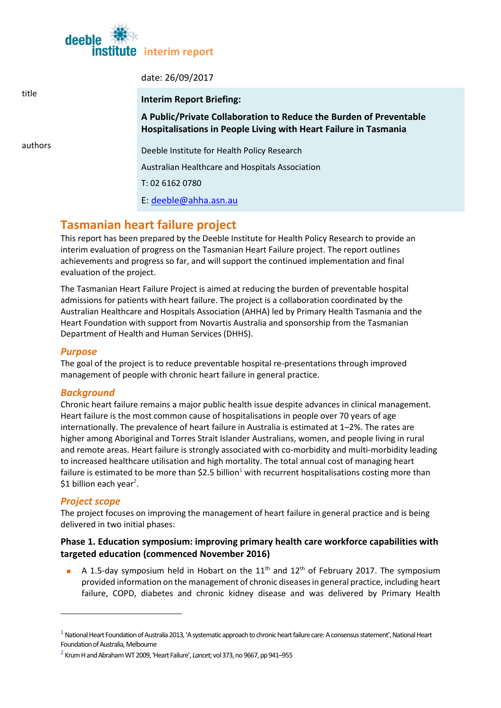

| title   | date: 26/09/2017                                                                                                                       |
|---------|----------------------------------------------------------------------------------------------------------------------------------------|
|         | <b>Interim Report Briefing:</b>                                                                                                        |
|         | A Public/Private Collaboration to Reduce the Burden of Preventable<br>Hospitalisations in People Living with Heart Failure in Tasmania |
| authors | Deeble Institute for Health Policy Research                                                                                            |
|         | Australian Healthcare and Hospitals Association                                                                                        |
|         | T: 02 6162 0780                                                                                                                        |
|         | E: deeble@ahha.asn.au                                                                                                                  |
|         |                                                                                                                                        |

# **Tasmanian heart failure project**

This report has been prepared by the Deeble Institute for Health Policy Research to provide an interim evaluation of progress on the Tasmanian Heart Failure project. The report outlines achievements and progress so far, and will support the continued implementation and final evaluation of the project.

The Tasmanian Heart Failure Project is aimed at reducing the burden of preventable hospital admissions for patients with heart failure. The project is a collaboration coordinated by the Australian Healthcare and Hospitals Association (AHHA) led by Primary Health Tasmania and the Heart Foundation with support from Novartis Australia and sponsorship from the Tasmanian Department of Health and Human Services (DHHS).

## *Purpose*

The goal of the project is to reduce preventable hospital re-presentations through improved management of people with chronic heart failure in general practice.

### *Background*

Chronic heart failure remains a major public health issue despite advances in clinical management. Heart failure is the most common cause of hospitalisations in people over 70 years of age internationally. The prevalence of heart failure in Australia is estimated at 1–2%. The rates are higher among Aboriginal and Torres Strait Islander Australians, women, and people living in rural and remote areas. Heart failure is strongly associated with co-morbidity and multi-morbidity leading to increased healthcare utilisation and high mortality. The total annual cost of managing heart failure is estimated to be more than \$2.5 billion<sup>1</sup> with recurrent hospitalisations costing more than \$1 billion each year<sup>2</sup>.

## *Project scope*

1

The project focuses on improving the management of heart failure in general practice and is being delivered in two initial phases:

## **Phase 1. Education symposium: improving primary health care workforce capabilities with targeted education (commenced November 2016)**

A 1.5-day symposium held in Hobart on the  $11<sup>th</sup>$  and  $12<sup>th</sup>$  of February 2017. The symposium provided information on the management of chronic diseases in general practice, including heart failure, COPD, diabetes and chronic kidney disease and was delivered by Primary Health

 $1$  National Heart Foundation of Australia 2013, 'A systematic approach to chronic heart failure care: A consensus statement', National Heart Foundation of Australia, Melbourne

<sup>2</sup> Krum H and Abraham WT 2009, 'Heart Failure', *Lancet;*vol 373, no 9667, pp 941–955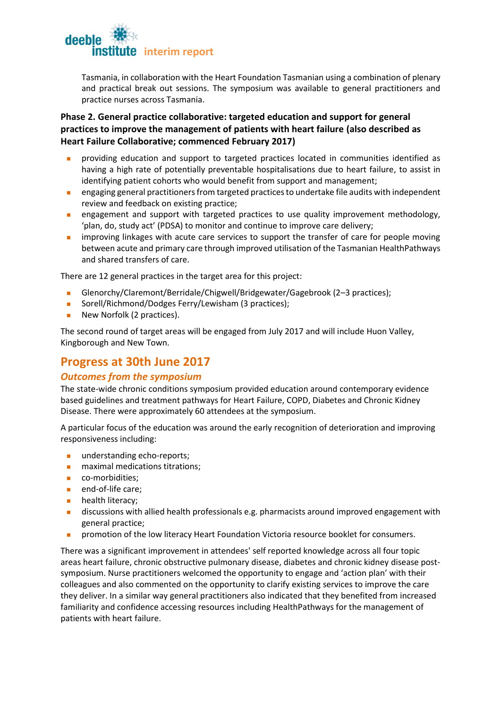

Tasmania, in collaboration with the Heart Foundation Tasmanian using a combination of plenary and practical break out sessions. The symposium was available to general practitioners and practice nurses across Tasmania.

# **Phase 2. General practice collaborative: targeted education and support for general practices to improve the management of patients with heart failure (also described as Heart Failure Collaborative; commenced February 2017)**

- providing education and support to targeted practices located in communities identified as having a high rate of potentially preventable hospitalisations due to heart failure, to assist in identifying patient cohorts who would benefit from support and management;
- engaging general practitioners from targeted practices to undertake file audits with independent review and feedback on existing practice;
- engagement and support with targeted practices to use quality improvement methodology, 'plan, do, study act' (PDSA) to monitor and continue to improve care delivery;
- **n** improving linkages with acute care services to support the transfer of care for people moving between acute and primary care through improved utilisation of the Tasmanian HealthPathways and shared transfers of care.

There are 12 general practices in the target area for this project:

- Glenorchy/Claremont/Berridale/Chigwell/Bridgewater/Gagebrook (2–3 practices);
- Sorell/Richmond/Dodges Ferry/Lewisham (3 practices);
- New Norfolk (2 practices).

The second round of target areas will be engaged from July 2017 and will include Huon Valley, Kingborough and New Town.

# **Progress at 30th June 2017**

### *Outcomes from the symposium*

The state-wide chronic conditions symposium provided education around contemporary evidence based guidelines and treatment pathways for Heart Failure, COPD, Diabetes and Chronic Kidney Disease. There were approximately 60 attendees at the symposium.

A particular focus of the education was around the early recognition of deterioration and improving responsiveness including:

- **understanding echo-reports;**
- maximal medications titrations;
- co-morbidities;
- **n** end-of-life care;
- **health literacy;**
- **discussions with allied health professionals e.g. pharmacists around improved engagement with** general practice;
- **Promotion of the low literacy Heart Foundation Victoria resource booklet for consumers.**

There was a significant improvement in attendees' self reported knowledge across all four topic areas heart failure, chronic obstructive pulmonary disease, diabetes and chronic kidney disease postsymposium. Nurse practitioners welcomed the opportunity to engage and 'action plan' with their colleagues and also commented on the opportunity to clarify existing services to improve the care they deliver. In a similar way general practitioners also indicated that they benefited from increased familiarity and confidence accessing resources including HealthPathways for the management of patients with heart failure.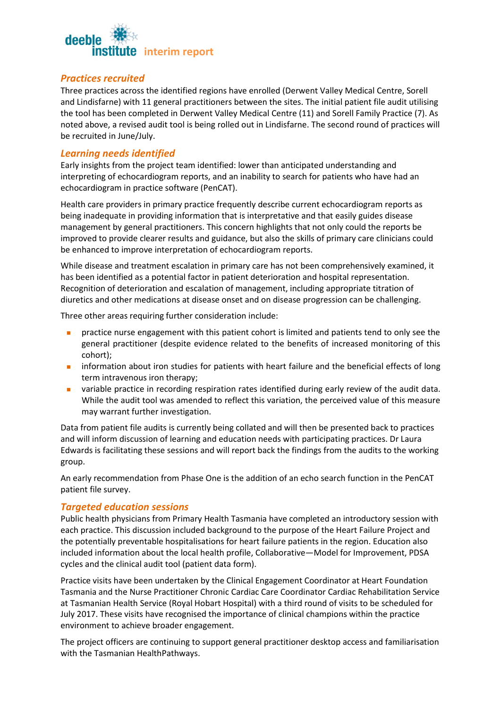

#### *Practices recruited*

Three practices across the identified regions have enrolled (Derwent Valley Medical Centre, Sorell and Lindisfarne) with 11 general practitioners between the sites. The initial patient file audit utilising the tool has been completed in Derwent Valley Medical Centre (11) and Sorell Family Practice (7). As noted above, a revised audit tool is being rolled out in Lindisfarne. The second round of practices will be recruited in June/July.

#### *Learning needs identified*

Early insights from the project team identified: lower than anticipated understanding and interpreting of echocardiogram reports, and an inability to search for patients who have had an echocardiogram in practice software (PenCAT).

Health care providers in primary practice frequently describe current echocardiogram reports as being inadequate in providing information that is interpretative and that easily guides disease management by general practitioners. This concern highlights that not only could the reports be improved to provide clearer results and guidance, but also the skills of primary care clinicians could be enhanced to improve interpretation of echocardiogram reports.

While disease and treatment escalation in primary care has not been comprehensively examined, it has been identified as a potential factor in patient deterioration and hospital representation. Recognition of deterioration and escalation of management, including appropriate titration of diuretics and other medications at disease onset and on disease progression can be challenging.

Three other areas requiring further consideration include:

- practice nurse engagement with this patient cohort is limited and patients tend to only see the general practitioner (despite evidence related to the benefits of increased monitoring of this cohort);
- **n** information about iron studies for patients with heart failure and the beneficial effects of long term intravenous iron therapy;
- variable practice in recording respiration rates identified during early review of the audit data. While the audit tool was amended to reflect this variation, the perceived value of this measure may warrant further investigation.

Data from patient file audits is currently being collated and will then be presented back to practices and will inform discussion of learning and education needs with participating practices. Dr Laura Edwards is facilitating these sessions and will report back the findings from the audits to the working group.

An early recommendation from Phase One is the addition of an echo search function in the PenCAT patient file survey.

#### *Targeted education sessions*

Public health physicians from Primary Health Tasmania have completed an introductory session with each practice. This discussion included background to the purpose of the Heart Failure Project and the potentially preventable hospitalisations for heart failure patients in the region. Education also included information about the local health profile, Collaborative—Model for Improvement, PDSA cycles and the clinical audit tool (patient data form).

Practice visits have been undertaken by the Clinical Engagement Coordinator at Heart Foundation Tasmania and the Nurse Practitioner Chronic Cardiac Care Coordinator Cardiac Rehabilitation Service at Tasmanian Health Service (Royal Hobart Hospital) with a third round of visits to be scheduled for July 2017. These visits have recognised the importance of clinical champions within the practice environment to achieve broader engagement.

The project officers are continuing to support general practitioner desktop access and familiarisation with the Tasmanian HealthPathways.